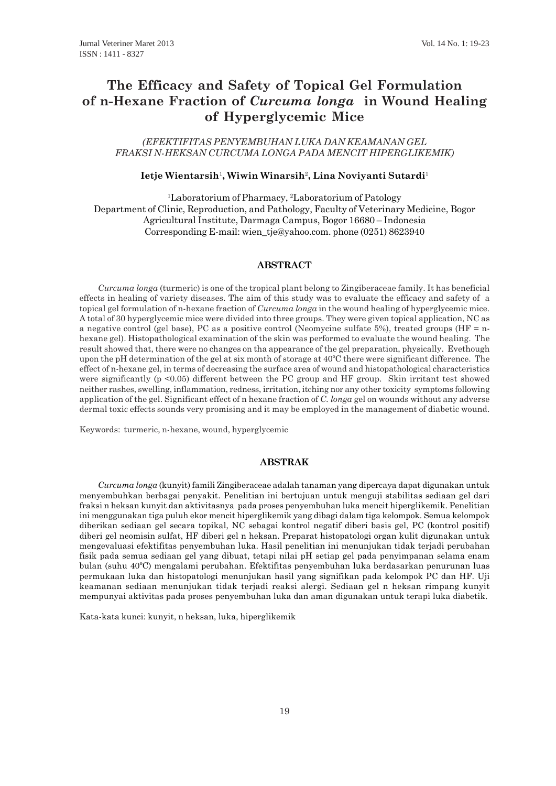# **The Efficacy and Safety of Topical Gel Formulation of n-Hexane Fraction of** *Curcuma longa* **in Wound Healing of Hyperglycemic Mice**

# *(EFEKTIFITAS PENYEMBUHAN LUKA DAN KEAMANAN GEL FRAKSI N-HEKSAN CURCUMA LONGA PADA MENCIT HIPERGLIKEMIK)*

#### **Ietje Wientarsih**<sup>1</sup> **, Wiwin Winarsih**<sup>2</sup> **, Lina Noviyanti Sutardi**<sup>1</sup>

<sup>1</sup>Laboratorium of Pharmacy, <sup>2</sup>Laboratorium of Patology Department of Clinic, Reproduction, and Pathology, Faculty of Veterinary Medicine, Bogor Agricultural Institute, Darmaga Campus, Bogor 16680 – Indonesia Corresponding E-mail: wien\_tje@yahoo.com. phone (0251) 8623940

# **ABSTRACT**

*Curcuma longa* (turmeric) is one of the tropical plant belong to Zingiberaceae family. It has beneficial effects in healing of variety diseases. The aim of this study was to evaluate the efficacy and safety of a topical gel formulation of n-hexane fraction of *Curcuma longa* in the wound healing of hyperglycemic mice. A total of 30 hyperglycemic mice were divided into three groups. They were given topical application, NC as a negative control (gel base), PC as a positive control (Neomycine sulfate 5%), treated groups (HF = nhexane gel). Histopathological examination of the skin was performed to evaluate the wound healing. The result showed that, there were no changes on tha appearance of the gel preparation, physically. Evethough upon the pH determination of the gel at six month of storage at  $40^{\circ}$ C there were significant difference. The effect of n-hexane gel, in terms of decreasing the surface area of wound and histopathological characteristics were significantly (p <0.05) different between the PC group and HF group. Skin irritant test showed neither rashes, swelling, inflammation, redness, irritation, itching nor any other toxicity symptoms following application of the gel. Significant effect of n hexane fraction of *C. longa* gel on wounds without any adverse dermal toxic effects sounds very promising and it may be employed in the management of diabetic wound.

Keywords: turmeric, n-hexane, wound, hyperglycemic

## **ABSTRAK**

*Curcuma longa* (kunyit) famili Zingiberaceae adalah tanaman yang dipercaya dapat digunakan untuk menyembuhkan berbagai penyakit. Penelitian ini bertujuan untuk menguji stabilitas sediaan gel dari fraksi n heksan kunyit dan aktivitasnya pada proses penyembuhan luka mencit hiperglikemik. Penelitian ini menggunakan tiga puluh ekor mencit hiperglikemik yang dibagi dalam tiga kelompok. Semua kelompok diberikan sediaan gel secara topikal, NC sebagai kontrol negatif diberi basis gel, PC (kontrol positif) diberi gel neomisin sulfat, HF diberi gel n heksan. Preparat histopatologi organ kulit digunakan untuk mengevaluasi efektifitas penyembuhan luka. Hasil penelitian ini menunjukan tidak terjadi perubahan fisik pada semua sediaan gel yang dibuat, tetapi nilai pH setiap gel pada penyimpanan selama enam bulan (suhu 40ºC) mengalami perubahan. Efektifitas penyembuhan luka berdasarkan penurunan luas permukaan luka dan histopatologi menunjukan hasil yang signifikan pada kelompok PC dan HF. Uji keamanan sediaan menunjukan tidak terjadi reaksi alergi. Sediaan gel n heksan rimpang kunyit mempunyai aktivitas pada proses penyembuhan luka dan aman digunakan untuk terapi luka diabetik.

Kata-kata kunci: kunyit, n heksan, luka, hiperglikemik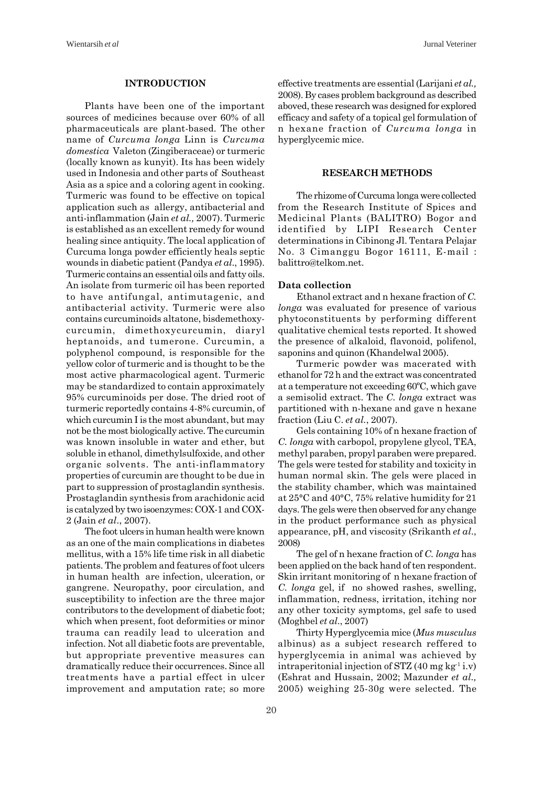#### **INTRODUCTION**

Plants have been one of the important sources of medicines because over 60% of all pharmaceuticals are plant-based. The other name of *Curcuma longa* Linn is *Curcuma domestica* Valeton (Zingiberaceae) or turmeric (locally known as kunyit). Its has been widely used in Indonesia and other parts of Southeast Asia as a spice and a coloring agent in cooking. Turmeric was found to be effective on topical application such as allergy, antibacterial and anti-inflammation (Jain *et al.,* 2007). Turmeric is established as an excellent remedy for wound healing since antiquity. The local application of Curcuma longa powder efficiently heals septic wounds in diabetic patient (Pandya *et al*., 1995). Turmeric contains an essential oils and fatty oils. An isolate from turmeric oil has been reported to have antifungal, antimutagenic, and antibacterial activity. Turmeric were also contains curcuminoids altatone, bisdemethoxycurcumin, dimethoxycurcumin, diaryl heptanoids, and tumerone. Curcumin, a polyphenol compound, is responsible for the yellow color of turmeric and is thought to be the most active pharmacological agent. Turmeric may be standardized to contain approximately 95% curcuminoids per dose. The dried root of turmeric reportedly contains 4-8% curcumin, of which curcumin I is the most abundant, but may not be the most biologically active. The curcumin was known insoluble in water and ether, but soluble in ethanol, dimethylsulfoxide, and other organic solvents. The anti-inflammatory properties of curcumin are thought to be due in part to suppression of prostaglandin synthesis. Prostaglandin synthesis from arachidonic acid is catalyzed by two isoenzymes: COX-1 and COX-2 (Jain *et al*., 2007).

The foot ulcers in human health were known as an one of the main complications in diabetes mellitus, with a 15% life time risk in all diabetic patients. The problem and features of foot ulcers in human health are infection, ulceration, or gangrene. Neuropathy, poor circulation, and susceptibility to infection are the three major contributors to the development of diabetic foot; which when present, foot deformities or minor trauma can readily lead to ulceration and infection. Not all diabetic foots are preventable, but appropriate preventive measures can dramatically reduce their occurrences. Since all treatments have a partial effect in ulcer improvement and amputation rate; so more effective treatments are essential (Larijani *et al.,* 2008). By cases problem background as described aboved, these research was designed for explored efficacy and safety of a topical gel formulation of n hexane fraction of *Curcuma longa* in hyperglycemic mice.

#### **RESEARCH METHODS**

The rhizome of Curcuma longa were collected from the Research Institute of Spices and Medicinal Plants (BALITRO) Bogor and identified by LIPI Research Center determinations in Cibinong Jl. Tentara Pelajar No. 3 Cimanggu Bogor 16111, E-mail : balittro@telkom.net.

#### **Data collection**

Ethanol extract and n hexane fraction of *C. longa* was evaluated for presence of various phytoconstituents by performing different qualitative chemical tests reported. It showed the presence of alkaloid, flavonoid, polifenol, saponins and quinon (Khandelwal 2005).

Turmeric powder was macerated with ethanol for 72 h and the extract was concentrated at a temperature not exceeding 60ºC, which gave a semisolid extract. The *C. longa* extract was partitioned with n-hexane and gave n hexane fraction (Liu C. *et al.*, 2007).

Gels containing 10% of n hexane fraction of *C. longa* with carbopol, propylene glycol, TEA, methyl paraben, propyl paraben were prepared. The gels were tested for stability and toxicity in human normal skin. The gels were placed in the stability chamber, which was maintained at 25°C and 40°C, 75% relative humidity for 21 days. The gels were then observed for any change in the product performance such as physical appearance, pH, and viscosity (Srikanth *et al*., 2008)

The gel of n hexane fraction of *C. longa* has been applied on the back hand of ten respondent. Skin irritant monitoring of n hexane fraction of *C. longa* gel, if no showed rashes, swelling, inflammation, redness, irritation, itching nor any other toxicity symptoms, gel safe to used (Moghbel *et al*., 2007)

Thirty Hyperglycemia mice (*Mus musculus* albinus) as a subject research reffered to hyperglycemia in animal was achieved by intraperitonial injection of STZ  $(40 \text{ mg kg}^{-1} \text{ i.v})$ (Eshrat and Hussain, 2002; Mazunder *et al.,* 2005) weighing 25-30g were selected. The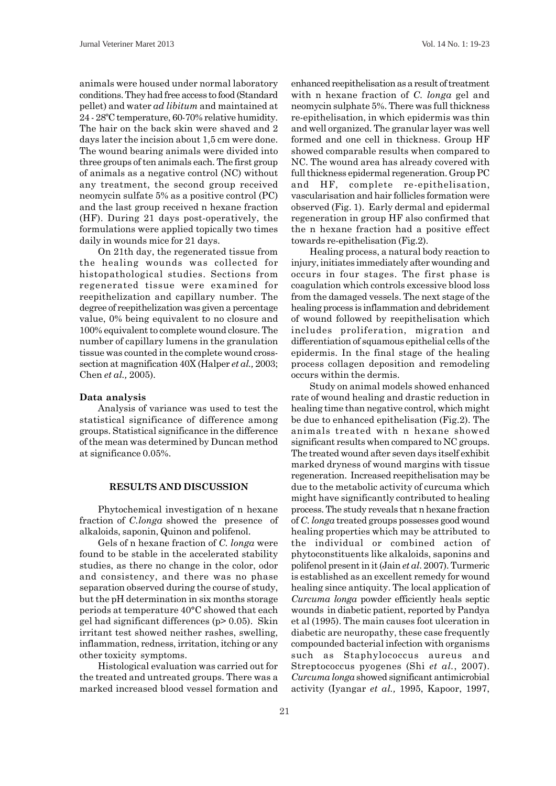animals were housed under normal laboratory conditions. They had free access to food (Standard pellet) and water *ad libitum* and maintained at 24 - 28ºC temperature, 60-70% relative humidity. The hair on the back skin were shaved and 2 days later the incision about 1,5 cm were done. The wound bearing animals were divided into three groups of ten animals each. The first group of animals as a negative control (NC) without any treatment, the second group received neomycin sulfate 5% as a positive control (PC) and the last group received n hexane fraction (HF). During 21 days post-operatively, the formulations were applied topically two times daily in wounds mice for 21 days.

On 21th day, the regenerated tissue from the healing wounds was collected for histopathological studies. Sections from regenerated tissue were examined for reepithelization and capillary number. The degree of reepithelization was given a percentage value, 0% being equivalent to no closure and 100% equivalent to complete wound closure. The number of capillary lumens in the granulation tissue was counted in the complete wound crosssection at magnification 40X (Halper *et al.,* 2003; Chen *et al.,* 2005).

#### **Data analysis**

Analysis of variance was used to test the statistical significance of difference among groups. Statistical significance in the difference of the mean was determined by Duncan method at significance 0.05%.

#### **RESULTS AND DISCUSSION**

Phytochemical investigation of n hexane fraction of *C.longa* showed the presence of alkaloids, saponin, Quinon and polifenol.

Gels of n hexane fraction of *C. longa* were found to be stable in the accelerated stability studies, as there no change in the color, odor and consistency, and there was no phase separation observed during the course of study, but the pH determination in six months storage periods at temperature 40°C showed that each gel had significant differences (p> 0.05). Skin irritant test showed neither rashes, swelling, inflammation, redness, irritation, itching or any other toxicity symptoms.

Histological evaluation was carried out for the treated and untreated groups. There was a marked increased blood vessel formation and enhanced reepithelisation as a result of treatment with n hexane fraction of *C. longa* gel and neomycin sulphate 5%. There was full thickness re-epithelisation, in which epidermis was thin and well organized. The granular layer was well formed and one cell in thickness. Group HF showed comparable results when compared to NC. The wound area has already covered with full thickness epidermal regeneration. Group PC and HF, complete re-epithelisation, vascularisation and hair follicles formation were observed (Fig. 1). Early dermal and epidermal regeneration in group HF also confirmed that the n hexane fraction had a positive effect towards re-epithelisation (Fig.2).

Healing process, a natural body reaction to injury, initiates immediately after wounding and occurs in four stages. The first phase is coagulation which controls excessive blood loss from the damaged vessels. The next stage of the healing process is inflammation and debridement of wound followed by reepithelisation which includes proliferation, migration and differentiation of squamous epithelial cells of the epidermis. In the final stage of the healing process collagen deposition and remodeling occurs within the dermis.

Study on animal models showed enhanced rate of wound healing and drastic reduction in healing time than negative control, which might be due to enhanced epithelisation (Fig.2). The animals treated with n hexane showed significant results when compared to NC groups. The treated wound after seven days itself exhibit marked dryness of wound margins with tissue regeneration. Increased reepithelisation may be due to the metabolic activity of curcuma which might have significantly contributed to healing process. The study reveals that n hexane fraction of *C. longa* treated groups possesses good wound healing properties which may be attributed to the individual or combined action of phytoconstituents like alkaloids, saponins and polifenol present in it (Jain *et al*. 2007). Turmeric is established as an excellent remedy for wound healing since antiquity. The local application of *Curcuma longa* powder efficiently heals septic wounds in diabetic patient, reported by Pandya et al (1995). The main causes foot ulceration in diabetic are neuropathy, these case frequently compounded bacterial infection with organisms such as Staphylococcus aureus and Streptococcus pyogenes (Shi *et al.*, 2007). *Curcuma longa* showed significant antimicrobial activity (Iyangar *et al.,* 1995, Kapoor, 1997,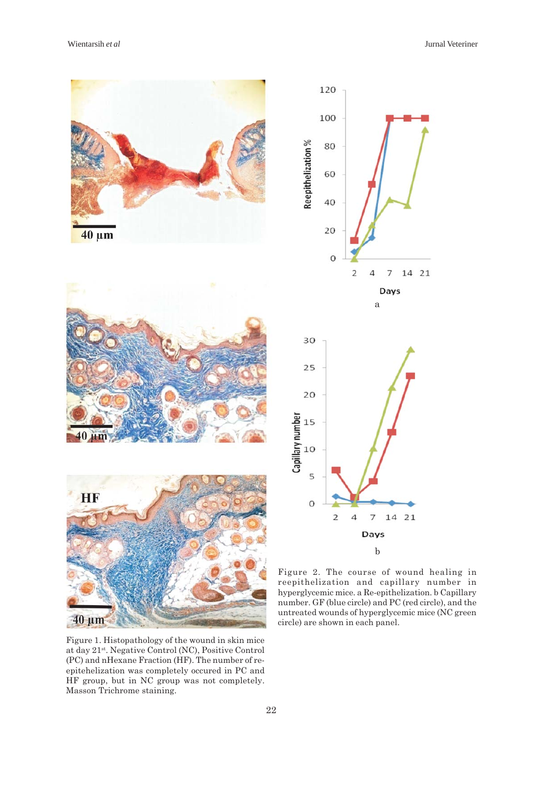

Reepithelization % 60 40  $20$  $\circ$  $\overline{2}$  $\overline{4}$ 14 21  $\overline{7}$ Days a 30 25 20 Capillary number<br> $\frac{15}{5}$ 5  $\circ$  $\overline{2}$  $\overline{a}$  $\overline{7}$ 14 21 Days b

120

100

80

Figure 1. Histopathology of the wound in skin mice at day 21st. Negative Control (NC), Positive Control (PC) and nHexane Fraction (HF). The number of reepitehelization was completely occured in PC and HF group, but in NC group was not completely. Masson Trichrome staining.

Figure 2. The course of wound healing in reepithelization and capillary number in hyperglycemic mice. a Re-epithelization. b Capillary number. GF (blue circle) and PC (red circle), and the untreated wounds of hyperglycemic mice (NC green circle) are shown in each panel.